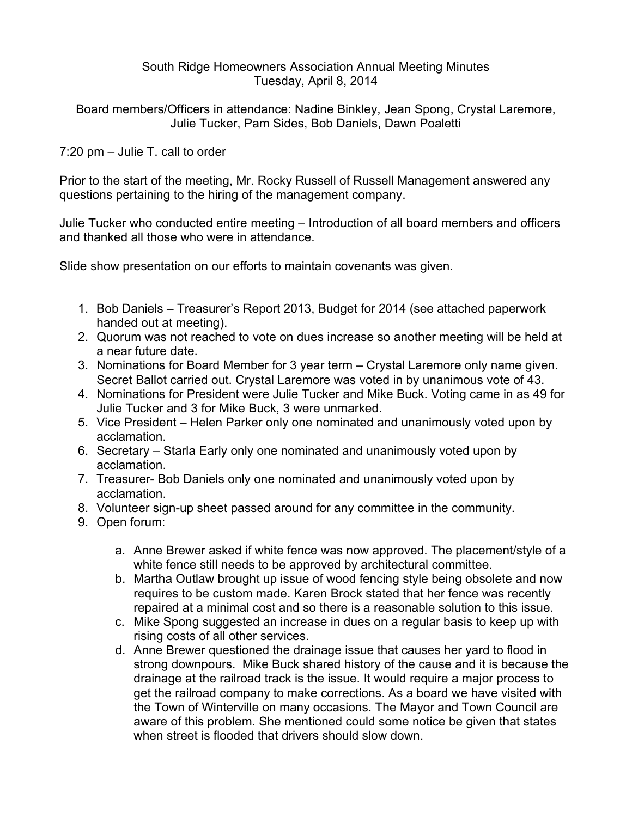### South Ridge Homeowners Association Annual Meeting Minutes Tuesday, April 8, 2014

Board members/Officers in attendance: Nadine Binkley, Jean Spong, Crystal Laremore, Julie Tucker, Pam Sides, Bob Daniels, Dawn Poaletti

7:20 pm – Julie T. call to order

Prior to the start of the meeting, Mr. Rocky Russell of Russell Management answered any questions pertaining to the hiring of the management company.

Julie Tucker who conducted entire meeting – Introduction of all board members and officers and thanked all those who were in attendance.

Slide show presentation on our efforts to maintain covenants was given.

- 1. Bob Daniels Treasurer's Report 2013, Budget for 2014 (see attached paperwork handed out at meeting).
- 2. Quorum was not reached to vote on dues increase so another meeting will be held at a near future date.
- 3. Nominations for Board Member for 3 year term Crystal Laremore only name given. Secret Ballot carried out. Crystal Laremore was voted in by unanimous vote of 43.
- 4. Nominations for President were Julie Tucker and Mike Buck. Voting came in as 49 for Julie Tucker and 3 for Mike Buck, 3 were unmarked.
- 5. Vice President Helen Parker only one nominated and unanimously voted upon by acclamation.
- 6. Secretary Starla Early only one nominated and unanimously voted upon by acclamation.
- 7. Treasurer- Bob Daniels only one nominated and unanimously voted upon by acclamation.
- 8. Volunteer sign-up sheet passed around for any committee in the community.
- 9. Open forum:
	- a. Anne Brewer asked if white fence was now approved. The placement/style of a white fence still needs to be approved by architectural committee.
	- b. Martha Outlaw brought up issue of wood fencing style being obsolete and now requires to be custom made. Karen Brock stated that her fence was recently repaired at a minimal cost and so there is a reasonable solution to this issue.
	- c. Mike Spong suggested an increase in dues on a regular basis to keep up with rising costs of all other services.
	- d. Anne Brewer questioned the drainage issue that causes her yard to flood in strong downpours. Mike Buck shared history of the cause and it is because the drainage at the railroad track is the issue. It would require a major process to get the railroad company to make corrections. As a board we have visited with the Town of Winterville on many occasions. The Mayor and Town Council are aware of this problem. She mentioned could some notice be given that states when street is flooded that drivers should slow down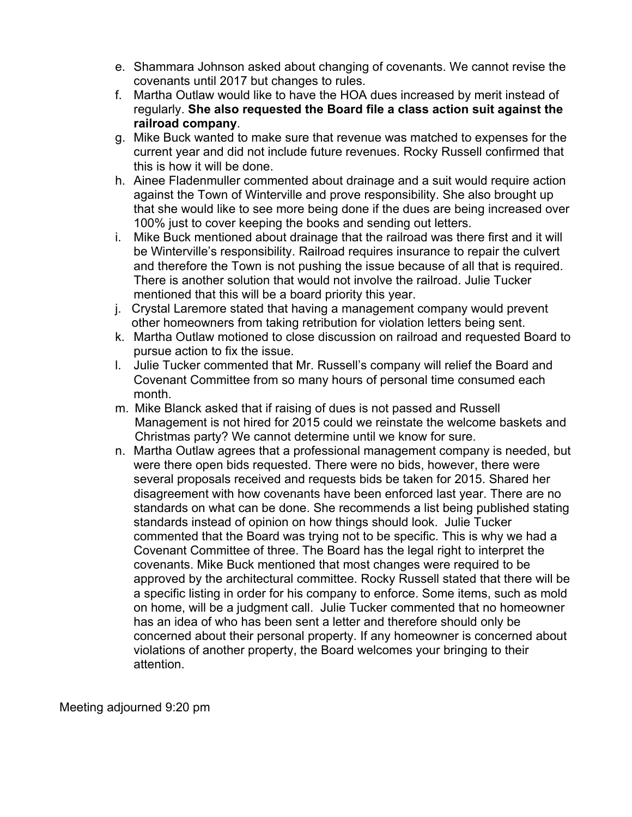- e. Shammara Johnson asked about changing of covenants. We cannot revise the covenants until 2017 but changes to rules.
- f. Martha Outlaw would like to have the HOA dues increased by merit instead of regularly. **She also requested the Board file a class action suit against the railroad company**.
- g. Mike Buck wanted to make sure that revenue was matched to expenses for the current year and did not include future revenues. Rocky Russell confirmed that this is how it will be done.
- h. Ainee Fladenmuller commented about drainage and a suit would require action against the Town of Winterville and prove responsibility. She also brought up that she would like to see more being done if the dues are being increased over 100% just to cover keeping the books and sending out letters.
- i. Mike Buck mentioned about drainage that the railroad was there first and it will be Winterville's responsibility. Railroad requires insurance to repair the culvert and therefore the Town is not pushing the issue because of all that is required. There is another solution that would not involve the railroad. Julie Tucker mentioned that this will be a board priority this year.
- j. Crystal Laremore stated that having a management company would prevent other homeowners from taking retribution for violation letters being sent.
- k. Martha Outlaw motioned to close discussion on railroad and requested Board to pursue action to fix the issue.
- l. Julie Tucker commented that Mr. Russell's company will relief the Board and Covenant Committee from so many hours of personal time consumed each month.
- m. Mike Blanck asked that if raising of dues is not passed and Russell Management is not hired for 2015 could we reinstate the welcome baskets and Christmas party? We cannot determine until we know for sure.
- n. Martha Outlaw agrees that a professional management company is needed, but were there open bids requested. There were no bids, however, there were several proposals received and requests bids be taken for 2015. Shared her disagreement with how covenants have been enforced last year. There are no standards on what can be done. She recommends a list being published stating standards instead of opinion on how things should look. Julie Tucker commented that the Board was trying not to be specific. This is why we had a Covenant Committee of three. The Board has the legal right to interpret the covenants. Mike Buck mentioned that most changes were required to be approved by the architectural committee. Rocky Russell stated that there will be a specific listing in order for his company to enforce. Some items, such as mold on home, will be a judgment call. Julie Tucker commented that no homeowner has an idea of who has been sent a letter and therefore should only be concerned about their personal property. If any homeowner is concerned about violations of another property, the Board welcomes your bringing to their attention.

Meeting adjourned 9:20 pm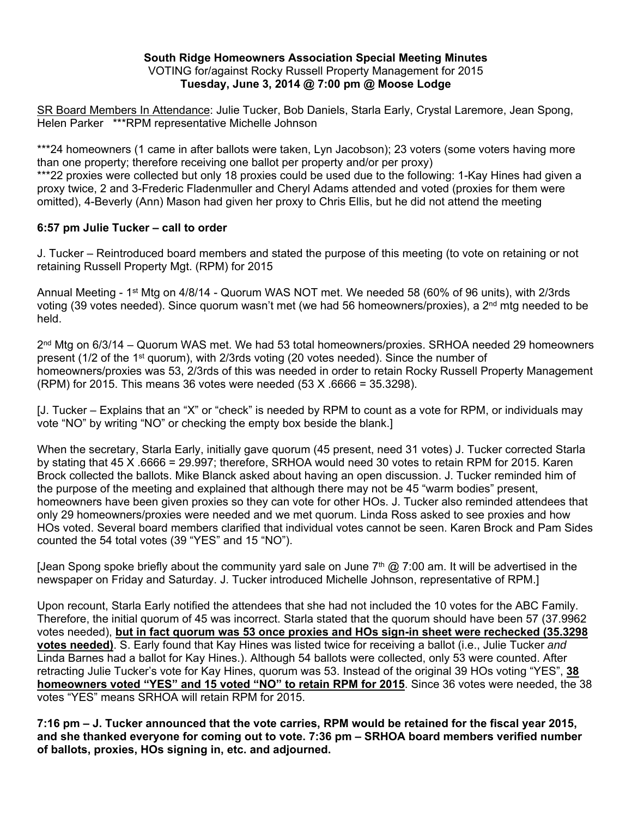#### **South Ridge Homeowners Association Special Meeting Minutes**  VOTING for/against Rocky Russell Property Management for 2015 **Tuesday, June 3, 2014 @ 7:00 pm @ Moose Lodge**

SR Board Members In Attendance: Julie Tucker, Bob Daniels, Starla Early, Crystal Laremore, Jean Spong, Helen Parker \*\*\*RPM representative Michelle Johnson

\*\*\*24 homeowners (1 came in after ballots were taken, Lyn Jacobson); 23 voters (some voters having more than one property; therefore receiving one ballot per property and/or per proxy)

\*\*\*22 proxies were collected but only 18 proxies could be used due to the following: 1-Kay Hines had given a proxy twice, 2 and 3-Frederic Fladenmuller and Cheryl Adams attended and voted (proxies for them were omitted), 4-Beverly (Ann) Mason had given her proxy to Chris Ellis, but he did not attend the meeting

### **6:57 pm Julie Tucker – call to order**

J. Tucker – Reintroduced board members and stated the purpose of this meeting (to vote on retaining or not retaining Russell Property Mgt. (RPM) for 2015

Annual Meeting - 1st Mtg on 4/8/14 - Quorum WAS NOT met. We needed 58 (60% of 96 units), with 2/3rds voting (39 votes needed). Since quorum wasn't met (we had 56 homeowners/proxies), a 2<sup>nd</sup> mtg needed to be held.

 $2<sup>nd</sup>$  Mtg on 6/3/14 – Quorum WAS met. We had 53 total homeowners/proxies. SRHOA needed 29 homeowners present (1/2 of the 1<sup>st</sup> quorum), with 2/3rds voting (20 votes needed). Since the number of homeowners/proxies was 53, 2/3rds of this was needed in order to retain Rocky Russell Property Management (RPM) for 2015. This means 36 votes were needed  $(53 \text{ X} \cdot 6666 = 35.3298)$ .

[J. Tucker – Explains that an "X" or "check" is needed by RPM to count as a vote for RPM, or individuals may vote "NO" by writing "NO" or checking the empty box beside the blank.]

When the secretary, Starla Early, initially gave quorum (45 present, need 31 votes) J. Tucker corrected Starla by stating that 45 X .6666 = 29.997; therefore, SRHOA would need 30 votes to retain RPM for 2015. Karen Brock collected the ballots. Mike Blanck asked about having an open discussion. J. Tucker reminded him of the purpose of the meeting and explained that although there may not be 45 "warm bodies" present, homeowners have been given proxies so they can vote for other HOs. J. Tucker also reminded attendees that only 29 homeowners/proxies were needed and we met quorum. Linda Ross asked to see proxies and how HOs voted. Several board members clarified that individual votes cannot be seen. Karen Brock and Pam Sides counted the 54 total votes (39 "YES" and 15 "NO").

[Jean Spong spoke briefly about the community yard sale on June  $7<sup>th</sup>$  @ 7:00 am. It will be advertised in the newspaper on Friday and Saturday. J. Tucker introduced Michelle Johnson, representative of RPM.]

Upon recount, Starla Early notified the attendees that she had not included the 10 votes for the ABC Family. Therefore, the initial quorum of 45 was incorrect. Starla stated that the quorum should have been 57 (37.9962 votes needed), **but in fact quorum was 53 once proxies and HOs sign-in sheet were rechecked (35.3298 votes needed)**. S. Early found that Kay Hines was listed twice for receiving a ballot (i.e., Julie Tucker *and* Linda Barnes had a ballot for Kay Hines.). Although 54 ballots were collected, only 53 were counted. After retracting Julie Tucker's vote for Kay Hines, quorum was 53. Instead of the original 39 HOs voting "YES", **38 homeowners voted "YES" and 15 voted "NO" to retain RPM for 2015**. Since 36 votes were needed, the 38 votes "YES" means SRHOA will retain RPM for 2015.

**7:16 pm – J. Tucker announced that the vote carries, RPM would be retained for the fiscal year 2015, and she thanked everyone for coming out to vote. 7:36 pm – SRHOA board members verified number of ballots, proxies, HOs signing in, etc. and adjourned.**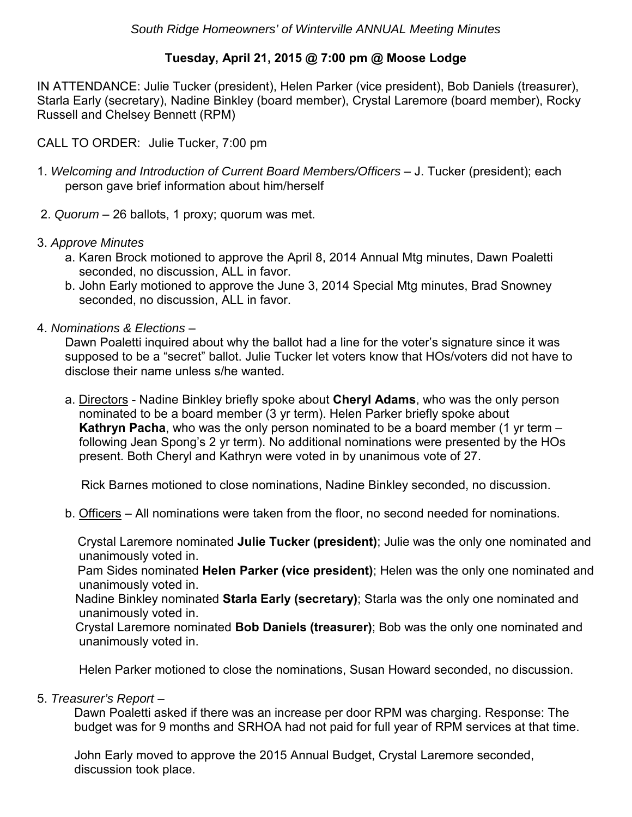## **Tuesday, April 21, 2015 @ 7:00 pm @ Moose Lodge**

IN ATTENDANCE: Julie Tucker (president), Helen Parker (vice president), Bob Daniels (treasurer), Starla Early (secretary), Nadine Binkley (board member), Crystal Laremore (board member), Rocky Russell and Chelsey Bennett (RPM)

CALL TO ORDER: Julie Tucker, 7:00 pm

- 1. *Welcoming and Introduction of Current Board Members/Officers* J. Tucker (president); each person gave brief information about him/herself
- 2. *Quorum* 26 ballots, 1 proxy; quorum was met.
- 3. *Approve Minutes*
	- a. Karen Brock motioned to approve the April 8, 2014 Annual Mtg minutes, Dawn Poaletti seconded, no discussion, ALL in favor.
	- b. John Early motioned to approve the June 3, 2014 Special Mtg minutes, Brad Snowney seconded, no discussion, ALL in favor.
- 4. *Nominations & Elections* –

Dawn Poaletti inquired about why the ballot had a line for the voter's signature since it was supposed to be a "secret" ballot. Julie Tucker let voters know that HOs/voters did not have to disclose their name unless s/he wanted.

a. Directors - Nadine Binkley briefly spoke about **Cheryl Adams**, who was the only person nominated to be a board member (3 yr term). Helen Parker briefly spoke about **Kathryn Pacha**, who was the only person nominated to be a board member (1 yr term – following Jean Spong's 2 yr term). No additional nominations were presented by the HOs present. Both Cheryl and Kathryn were voted in by unanimous vote of 27.

Rick Barnes motioned to close nominations, Nadine Binkley seconded, no discussion.

b. Officers – All nominations were taken from the floor, no second needed for nominations.

Crystal Laremore nominated **Julie Tucker (president)**; Julie was the only one nominated and unanimously voted in.

Pam Sides nominated **Helen Parker (vice president)**; Helen was the only one nominated and unanimously voted in.

Nadine Binkley nominated **Starla Early (secretary)**; Starla was the only one nominated and unanimously voted in.

Crystal Laremore nominated **Bob Daniels (treasurer)**; Bob was the only one nominated and unanimously voted in.

Helen Parker motioned to close the nominations, Susan Howard seconded, no discussion.

## 5. *Treasurer's Report* –

Dawn Poaletti asked if there was an increase per door RPM was charging. Response: The budget was for 9 months and SRHOA had not paid for full year of RPM services at that time.

John Early moved to approve the 2015 Annual Budget, Crystal Laremore seconded, discussion took place.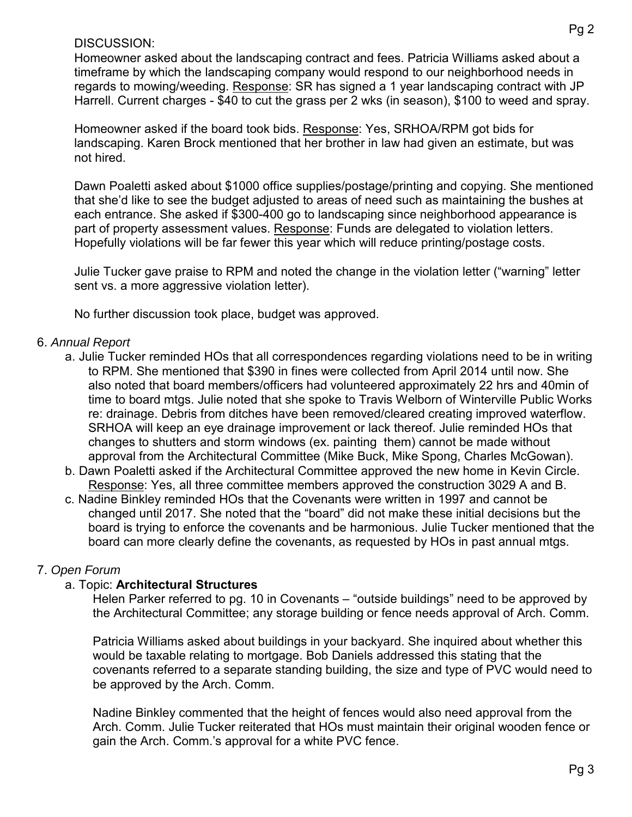### DISCUSSION:

Homeowner asked about the landscaping contract and fees. Patricia Williams asked about a timeframe by which the landscaping company would respond to our neighborhood needs in regards to mowing/weeding. Response: SR has signed a 1 year landscaping contract with JP Harrell. Current charges - \$40 to cut the grass per 2 wks (in season), \$100 to weed and spray.

Homeowner asked if the board took bids. Response: Yes, SRHOA/RPM got bids for landscaping. Karen Brock mentioned that her brother in law had given an estimate, but was not hired.

Dawn Poaletti asked about \$1000 office supplies/postage/printing and copying. She mentioned that she'd like to see the budget adjusted to areas of need such as maintaining the bushes at each entrance. She asked if \$300-400 go to landscaping since neighborhood appearance is part of property assessment values. Response: Funds are delegated to violation letters. Hopefully violations will be far fewer this year which will reduce printing/postage costs.

Julie Tucker gave praise to RPM and noted the change in the violation letter ("warning" letter sent vs. a more aggressive violation letter).

No further discussion took place, budget was approved.

## 6. *Annual Report*

- a. Julie Tucker reminded HOs that all correspondences regarding violations need to be in writing to RPM. She mentioned that \$390 in fines were collected from April 2014 until now. She also noted that board members/officers had volunteered approximately 22 hrs and 40min of time to board mtgs. Julie noted that she spoke to Travis Welborn of Winterville Public Works re: drainage. Debris from ditches have been removed/cleared creating improved waterflow. SRHOA will keep an eye drainage improvement or lack thereof. Julie reminded HOs that changes to shutters and storm windows (ex. painting them) cannot be made without approval from the Architectural Committee (Mike Buck, Mike Spong, Charles McGowan).
- b. Dawn Poaletti asked if the Architectural Committee approved the new home in Kevin Circle. Response: Yes, all three committee members approved the construction 3029 A and B.
- c. Nadine Binkley reminded HOs that the Covenants were written in 1997 and cannot be changed until 2017. She noted that the "board" did not make these initial decisions but the board is trying to enforce the covenants and be harmonious. Julie Tucker mentioned that the board can more clearly define the covenants, as requested by HOs in past annual mtgs.

## 7. *Open Forum*

## a. Topic: **Architectural Structures**

Helen Parker referred to pg. 10 in Covenants – "outside buildings" need to be approved by the Architectural Committee; any storage building or fence needs approval of Arch. Comm.

Patricia Williams asked about buildings in your backyard. She inquired about whether this would be taxable relating to mortgage. Bob Daniels addressed this stating that the covenants referred to a separate standing building, the size and type of PVC would need to be approved by the Arch. Comm.

Nadine Binkley commented that the height of fences would also need approval from the Arch. Comm. Julie Tucker reiterated that HOs must maintain their original wooden fence or gain the Arch. Comm.'s approval for a white PVC fence.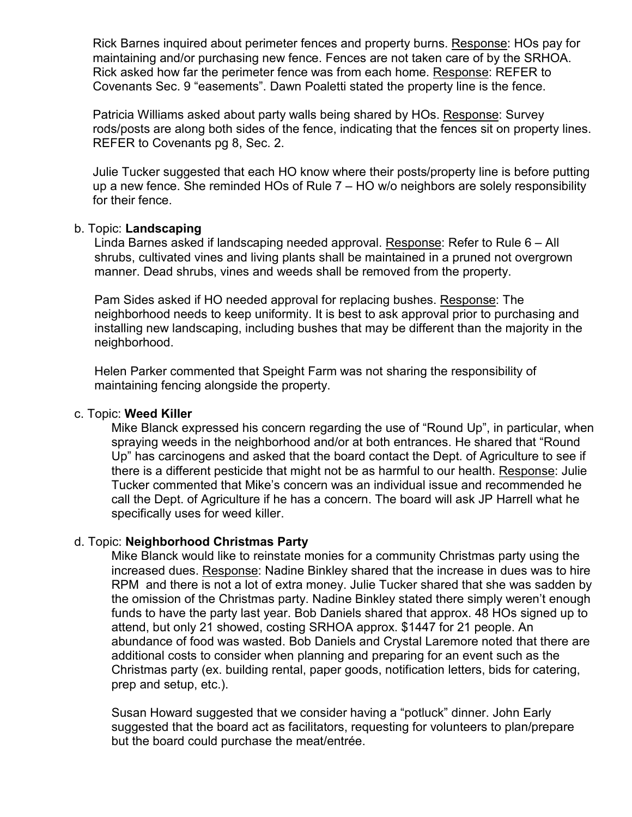Rick Barnes inquired about perimeter fences and property burns. Response: HOs pay for maintaining and/or purchasing new fence. Fences are not taken care of by the SRHOA. Rick asked how far the perimeter fence was from each home. Response: REFER to Covenants Sec. 9 "easements". Dawn Poaletti stated the property line is the fence.

Patricia Williams asked about party walls being shared by HOs. Response: Survey rods/posts are along both sides of the fence, indicating that the fences sit on property lines. REFER to Covenants pg 8, Sec. 2.

Julie Tucker suggested that each HO know where their posts/property line is before putting up a new fence. She reminded HOs of Rule 7 – HO w/o neighbors are solely responsibility for their fence.

### b. Topic: **Landscaping**

Linda Barnes asked if landscaping needed approval. Response: Refer to Rule 6 – All shrubs, cultivated vines and living plants shall be maintained in a pruned not overgrown manner. Dead shrubs, vines and weeds shall be removed from the property.

Pam Sides asked if HO needed approval for replacing bushes. Response: The neighborhood needs to keep uniformity. It is best to ask approval prior to purchasing and installing new landscaping, including bushes that may be different than the majority in the neighborhood.

Helen Parker commented that Speight Farm was not sharing the responsibility of maintaining fencing alongside the property.

### c. Topic: **Weed Killer**

Mike Blanck expressed his concern regarding the use of "Round Up", in particular, when spraying weeds in the neighborhood and/or at both entrances. He shared that "Round Up" has carcinogens and asked that the board contact the Dept. of Agriculture to see if there is a different pesticide that might not be as harmful to our health. Response: Julie Tucker commented that Mike's concern was an individual issue and recommended he call the Dept. of Agriculture if he has a concern. The board will ask JP Harrell what he specifically uses for weed killer.

#### d. Topic: **Neighborhood Christmas Party**

Mike Blanck would like to reinstate monies for a community Christmas party using the increased dues. Response: Nadine Binkley shared that the increase in dues was to hire RPM and there is not a lot of extra money. Julie Tucker shared that she was sadden by the omission of the Christmas party. Nadine Binkley stated there simply weren't enough funds to have the party last year. Bob Daniels shared that approx. 48 HOs signed up to attend, but only 21 showed, costing SRHOA approx. \$1447 for 21 people. An abundance of food was wasted. Bob Daniels and Crystal Laremore noted that there are additional costs to consider when planning and preparing for an event such as the Christmas party (ex. building rental, paper goods, notification letters, bids for catering, prep and setup, etc.).

Susan Howard suggested that we consider having a "potluck" dinner. John Early suggested that the board act as facilitators, requesting for volunteers to plan/prepare but the board could purchase the meat/entrée.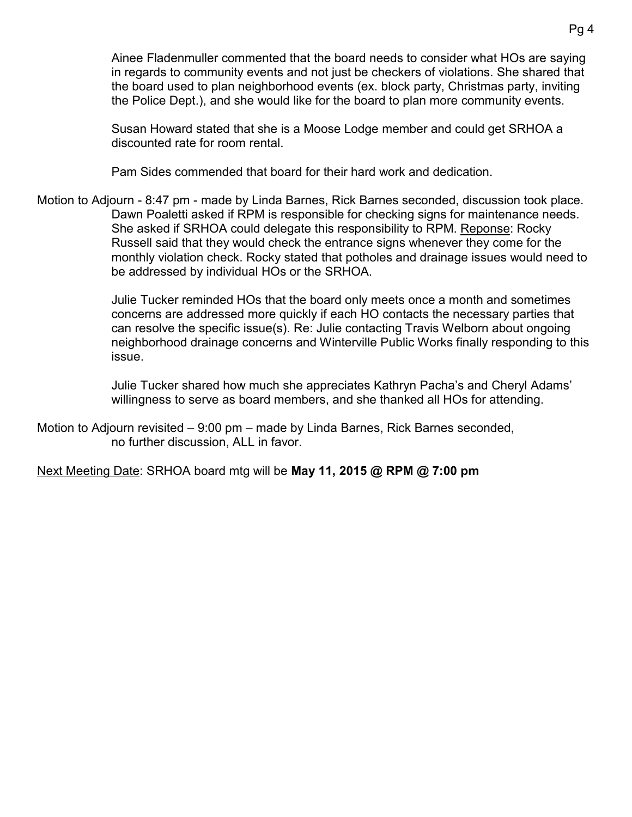Ainee Fladenmuller commented that the board needs to consider what HOs are saying in regards to community events and not just be checkers of violations. She shared that the board used to plan neighborhood events (ex. block party, Christmas party, inviting the Police Dept.), and she would like for the board to plan more community events.

Susan Howard stated that she is a Moose Lodge member and could get SRHOA a discounted rate for room rental.

Pam Sides commended that board for their hard work and dedication.

Motion to Adjourn - 8:47 pm - made by Linda Barnes, Rick Barnes seconded, discussion took place. Dawn Poaletti asked if RPM is responsible for checking signs for maintenance needs. She asked if SRHOA could delegate this responsibility to RPM. Reponse: Rocky Russell said that they would check the entrance signs whenever they come for the monthly violation check. Rocky stated that potholes and drainage issues would need to be addressed by individual HOs or the SRHOA.

> Julie Tucker reminded HOs that the board only meets once a month and sometimes concerns are addressed more quickly if each HO contacts the necessary parties that can resolve the specific issue(s). Re: Julie contacting Travis Welborn about ongoing neighborhood drainage concerns and Winterville Public Works finally responding to this issue.

Julie Tucker shared how much she appreciates Kathryn Pacha's and Cheryl Adams' willingness to serve as board members, and she thanked all HOs for attending.

Motion to Adjourn revisited – 9:00 pm – made by Linda Barnes, Rick Barnes seconded, no further discussion, ALL in favor.

Next Meeting Date: SRHOA board mtg will be **May 11, 2015 @ RPM @ 7:00 pm**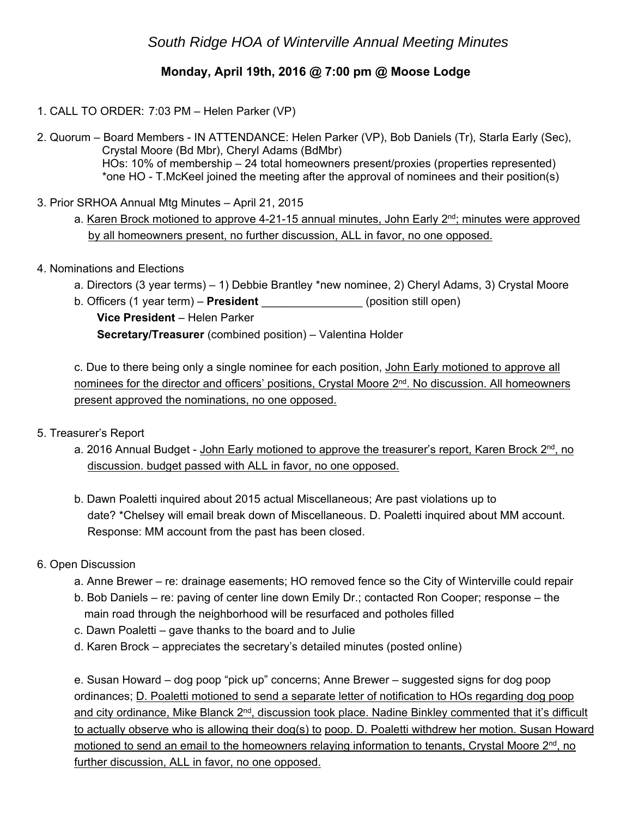# *South Ridge HOA of Winterville Annual Meeting Minutes*

## **Monday, April 19th, 2016 @ 7:00 pm @ Moose Lodge**

- 1. CALL TO ORDER: 7:03 PM Helen Parker (VP)
- 2. Quorum Board Members IN ATTENDANCE: Helen Parker (VP), Bob Daniels (Tr), Starla Early (Sec), Crystal Moore (Bd Mbr), Cheryl Adams (BdMbr) HOs: 10% of membership – 24 total homeowners present/proxies (properties represented) \*one HO - T.McKeel joined the meeting after the approval of nominees and their position(s)
- 3. Prior SRHOA Annual Mtg Minutes April 21, 2015
	- a. Karen Brock motioned to approve 4-21-15 annual minutes, John Early  $2<sup>nd</sup>$ ; minutes were approved by all homeowners present, no further discussion, ALL in favor, no one opposed.
- 4. Nominations and Elections
	- a. Directors (3 year terms) 1) Debbie Brantley \*new nominee, 2) Cheryl Adams, 3) Crystal Moore
	- b. Officers (1 year term) **President** \_\_\_\_\_\_\_\_\_\_\_\_\_\_\_\_ (position still open) **Vice President** – Helen Parker **Secretary/Treasurer** (combined position) – Valentina Holder

 c. Due to there being only a single nominee for each position, John Early motioned to approve all nominees for the director and officers' positions, Crystal Moore 2<sup>nd</sup>. No discussion. All homeowners present approved the nominations, no one opposed.

- 5. Treasurer's Report
	- a. 2016 Annual Budget John Early motioned to approve the treasurer's report, Karen Brock  $2<sup>nd</sup>$ , no discussion. budget passed with ALL in favor, no one opposed.
	- b. Dawn Poaletti inquired about 2015 actual Miscellaneous; Are past violations up to date? \*Chelsey will email break down of Miscellaneous. D. Poaletti inquired about MM account. Response: MM account from the past has been closed.

### 6. Open Discussion

- a. Anne Brewer re: drainage easements; HO removed fence so the City of Winterville could repair
- b. Bob Daniels re: paving of center line down Emily Dr.; contacted Ron Cooper; response the main road through the neighborhood will be resurfaced and potholes filled
- c. Dawn Poaletti gave thanks to the board and to Julie
- d. Karen Brock appreciates the secretary's detailed minutes (posted online)

 e. Susan Howard – dog poop "pick up" concerns; Anne Brewer – suggested signs for dog poop ordinances; D. Poaletti motioned to send a separate letter of notification to HOs regarding dog poop and city ordinance, Mike Blanck  $2<sup>nd</sup>$ , discussion took place. Nadine Binkley commented that it's difficult to actually observe who is allowing their dog(s) to poop. D. Poaletti withdrew her motion. Susan Howard motioned to send an email to the homeowners relaying information to tenants, Crystal Moore 2<sup>nd</sup>, no further discussion, ALL in favor, no one opposed.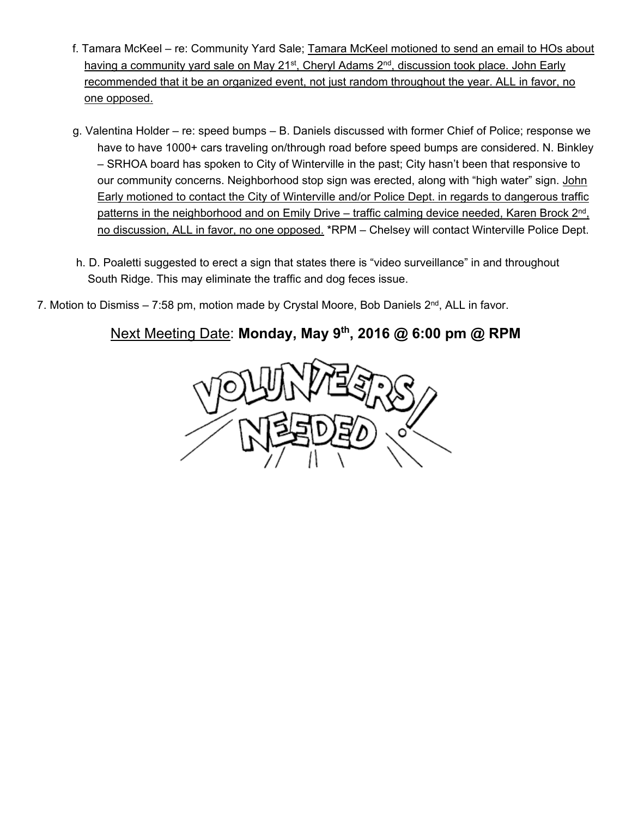- f. Tamara McKeel re: Community Yard Sale; Tamara McKeel motioned to send an email to HOs about having a community yard sale on May 21<sup>st</sup>, Cheryl Adams 2<sup>nd</sup>, discussion took place. John Early recommended that it be an organized event, not just random throughout the year. ALL in favor, no one opposed.
- g. Valentina Holder re: speed bumps B. Daniels discussed with former Chief of Police; response we have to have 1000+ cars traveling on/through road before speed bumps are considered. N. Binkley – SRHOA board has spoken to City of Winterville in the past; City hasn't been that responsive to our community concerns. Neighborhood stop sign was erected, along with "high water" sign. John Early motioned to contact the City of Winterville and/or Police Dept. in regards to dangerous traffic patterns in the neighborhood and on Emily Drive – traffic calming device needed, Karen Brock  $2<sup>nd</sup>$ , no discussion, ALL in favor, no one opposed. \*RPM - Chelsey will contact Winterville Police Dept.
- h. D. Poaletti suggested to erect a sign that states there is "video surveillance" in and throughout South Ridge. This may eliminate the traffic and dog feces issue.
- 7. Motion to Dismiss 7:58 pm, motion made by Crystal Moore, Bob Daniels 2<sup>nd</sup>, ALL in favor.

# Next Meeting Date: **Monday, May 9th, 2016 @ 6:00 pm @ RPM**

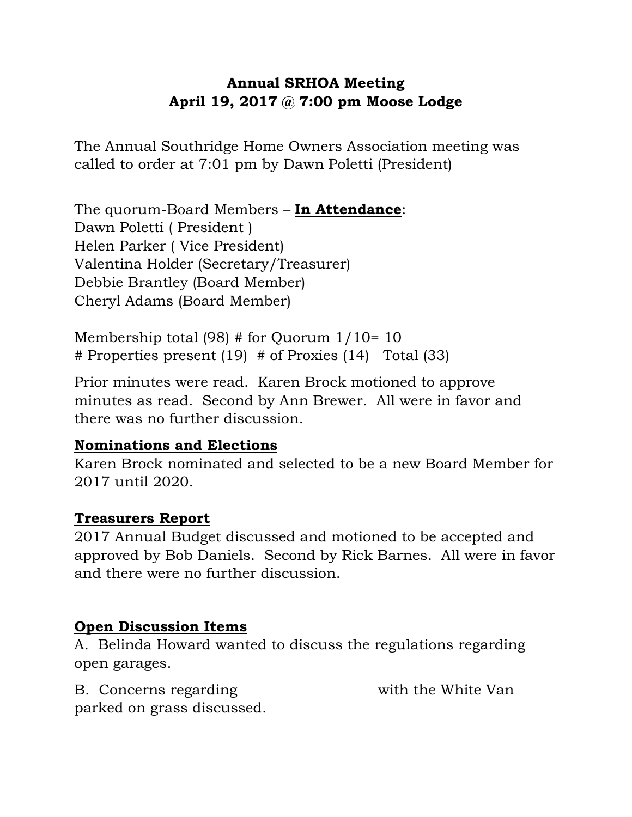# **Annual SRHOA Meeting April 19, 2017 @ 7:00 pm Moose Lodge**

The Annual Southridge Home Owners Association meeting was called to order at 7:01 pm by Dawn Poletti (President)

The quorum-Board Members – **In Attendance**: Dawn Poletti ( President ) Helen Parker ( Vice President) Valentina Holder (Secretary/Treasurer) Debbie Brantley (Board Member) Cheryl Adams (Board Member)

Membership total (98) # for Quorum 1/10= 10 # Properties present (19) # of Proxies (14) Total (33)

Prior minutes were read. Karen Brock motioned to approve minutes as read. Second by Ann Brewer. All were in favor and there was no further discussion.

# **Nominations and Elections**

Karen Brock nominated and selected to be a new Board Member for 2017 until 2020.

# **Treasurers Report**

2017 Annual Budget discussed and motioned to be accepted and approved by Bob Daniels. Second by Rick Barnes. All were in favor and there were no further discussion.

# **Open Discussion Items**

A. Belinda Howard wanted to discuss the regulations regarding open garages.

B. Concerns regarding 3003 court with the White Van parked on grass discussed.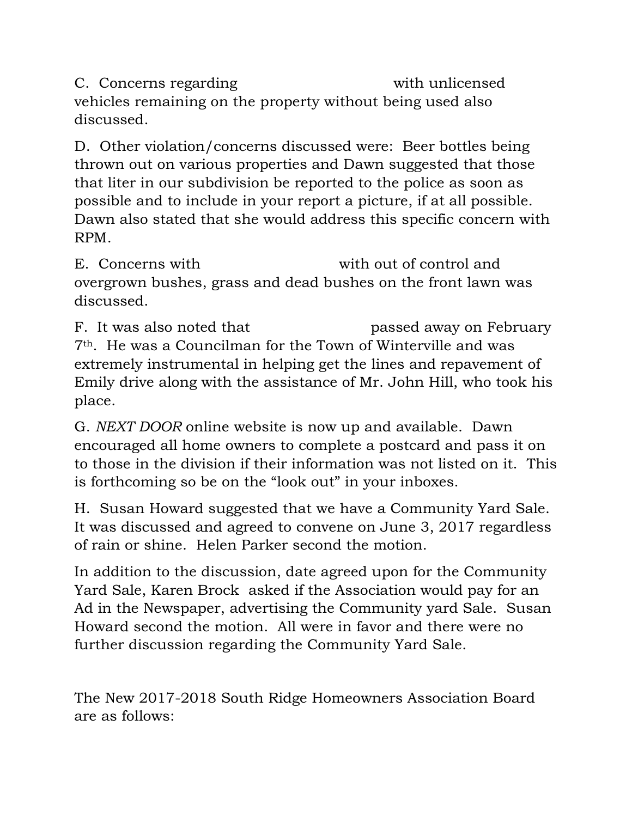C. Concerns regarding 3009 B Concerns with unlicensed vehicles remaining on the property without being used also discussed.

D. Other violation/concerns discussed were: Beer bottles being thrown out on various properties and Dawn suggested that those that liter in our subdivision be reported to the police as soon as possible and to include in your report a picture, if at all possible. Dawn also stated that she would address this specific concern with RPM.

E. Concerns with  $\frac{1}{2}$  b with out of control and overgrown bushes, grass and dead bushes on the front lawn was discussed.

F. It was also noted that measured passed away on February 7th. He was a Councilman for the Town of Winterville and was extremely instrumental in helping get the lines and repavement of Emily drive along with the assistance of Mr. John Hill, who took his place.

G. *NEXT DOOR* online website is now up and available. Dawn encouraged all home owners to complete a postcard and pass it on to those in the division if their information was not listed on it. This is forthcoming so be on the "look out" in your inboxes.

H. Susan Howard suggested that we have a Community Yard Sale. It was discussed and agreed to convene on June 3, 2017 regardless of rain or shine. Helen Parker second the motion.

In addition to the discussion, date agreed upon for the Community Yard Sale, Karen Brock asked if the Association would pay for an Ad in the Newspaper, advertising the Community yard Sale. Susan Howard second the motion. All were in favor and there were no further discussion regarding the Community Yard Sale.

The New 2017-2018 South Ridge Homeowners Association Board are as follows: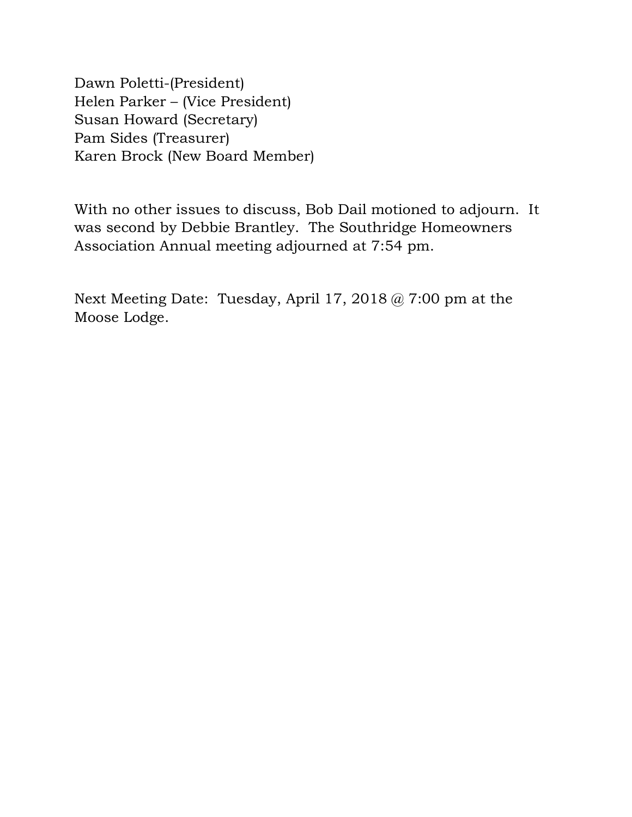Dawn Poletti-(President) Helen Parker – (Vice President) Susan Howard (Secretary) Pam Sides (Treasurer) Karen Brock (New Board Member)

With no other issues to discuss, Bob Dail motioned to adjourn. It was second by Debbie Brantley. The Southridge Homeowners Association Annual meeting adjourned at 7:54 pm.

Next Meeting Date: Tuesday, April 17, 2018 @ 7:00 pm at the Moose Lodge.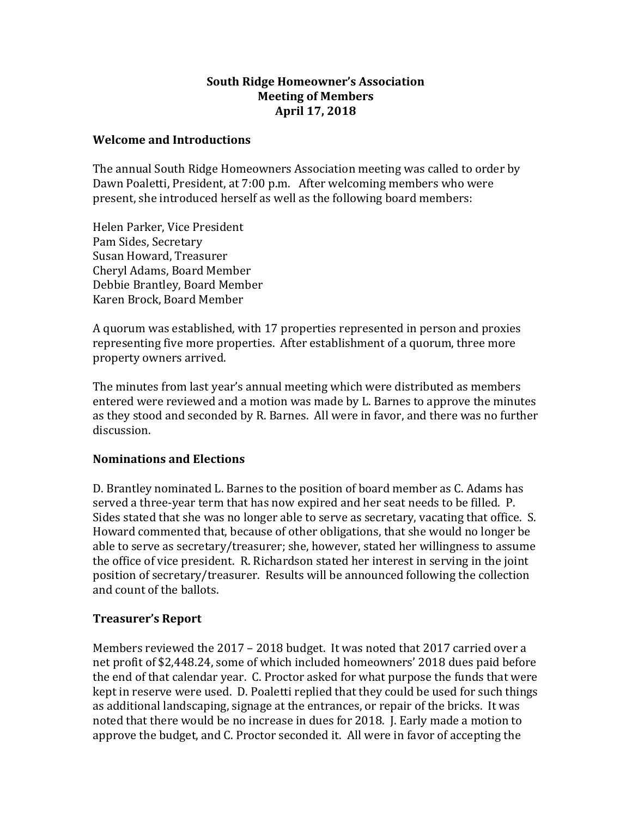### **South Ridge Homeowner's Association Meeting of Members April 17, 2018**

### **Welcome and Introductions**

The annual South Ridge Homeowners Association meeting was called to order by Dawn Poaletti, President, at 7:00 p.m. After welcoming members who were present, she introduced herself as well as the following board members:

Helen Parker, Vice President Pam Sides, Secretary Susan Howard, Treasurer Cheryl Adams, Board Member Debbie Brantley, Board Member Karen Brock, Board Member

A quorum was established, with 17 properties represented in person and proxies representing five more properties. After establishment of a quorum, three more property owners arrived.

The minutes from last year's annual meeting which were distributed as members entered were reviewed and a motion was made by L. Barnes to approve the minutes as they stood and seconded by R. Barnes. All were in favor, and there was no further discussion.

### **Nominations and Elections**

D. Brantley nominated L. Barnes to the position of board member as C. Adams has served a three-year term that has now expired and her seat needs to be filled. P. Sides stated that she was no longer able to serve as secretary, vacating that office. S. Howard commented that, because of other obligations, that she would no longer be able to serve as secretary/treasurer; she, however, stated her willingness to assume the office of vice president. R. Richardson stated her interest in serving in the joint position of secretary/treasurer. Results will be announced following the collection and count of the ballots.

### **Treasurer's Report**

Members reviewed the 2017 – 2018 budget. It was noted that 2017 carried over a net profit of \$2,448.24, some of which included homeowners' 2018 dues paid before the end of that calendar year. C. Proctor asked for what purpose the funds that were kept in reserve were used. D. Poaletti replied that they could be used for such things as additional landscaping, signage at the entrances, or repair of the bricks. It was noted that there would be no increase in dues for 2018. J. Early made a motion to approve the budget, and C. Proctor seconded it. All were in favor of accepting the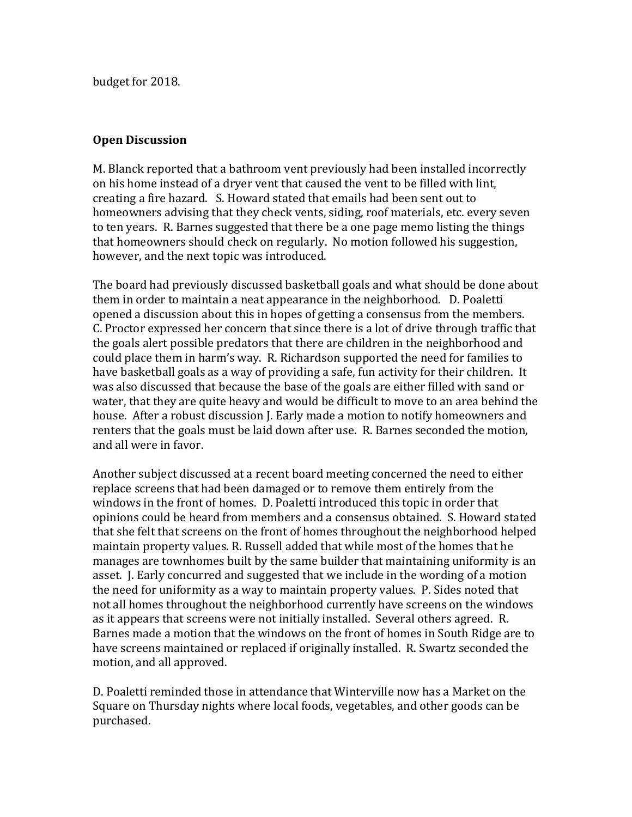budget for 2018.

### **Open Discussion**

M. Blanck reported that a bathroom vent previously had been installed incorrectly on his home instead of a dryer vent that caused the vent to be filled with lint, creating a fire hazard. S. Howard stated that emails had been sent out to homeowners advising that they check vents, siding, roof materials, etc. every seven to ten years. R. Barnes suggested that there be a one page memo listing the things that homeowners should check on regularly. No motion followed his suggestion, however, and the next topic was introduced.

The board had previously discussed basketball goals and what should be done about them in order to maintain a neat appearance in the neighborhood. D. Poaletti opened a discussion about this in hopes of getting a consensus from the members. C. Proctor expressed her concern that since there is a lot of drive through traffic that the goals alert possible predators that there are children in the neighborhood and could place them in harm's way. R. Richardson supported the need for families to have basketball goals as a way of providing a safe, fun activity for their children. It was also discussed that because the base of the goals are either filled with sand or water, that they are quite heavy and would be difficult to move to an area behind the house. After a robust discussion J. Early made a motion to notify homeowners and renters that the goals must be laid down after use. R. Barnes seconded the motion, and all were in favor.

Another subject discussed at a recent board meeting concerned the need to either replace screens that had been damaged or to remove them entirely from the windows in the front of homes. D. Poaletti introduced this topic in order that opinions could be heard from members and a consensus obtained. S. Howard stated that she felt that screens on the front of homes throughout the neighborhood helped maintain property values. R. Russell added that while most of the homes that he manages are townhomes built by the same builder that maintaining uniformity is an asset. J. Early concurred and suggested that we include in the wording of a motion the need for uniformity as a way to maintain property values. P. Sides noted that not all homes throughout the neighborhood currently have screens on the windows as it appears that screens were not initially installed. Several others agreed. R. Barnes made a motion that the windows on the front of homes in South Ridge are to have screens maintained or replaced if originally installed. R. Swartz seconded the motion, and all approved.

D. Poaletti reminded those in attendance that Winterville now has a Market on the Square on Thursday nights where local foods, vegetables, and other goods can be purchased.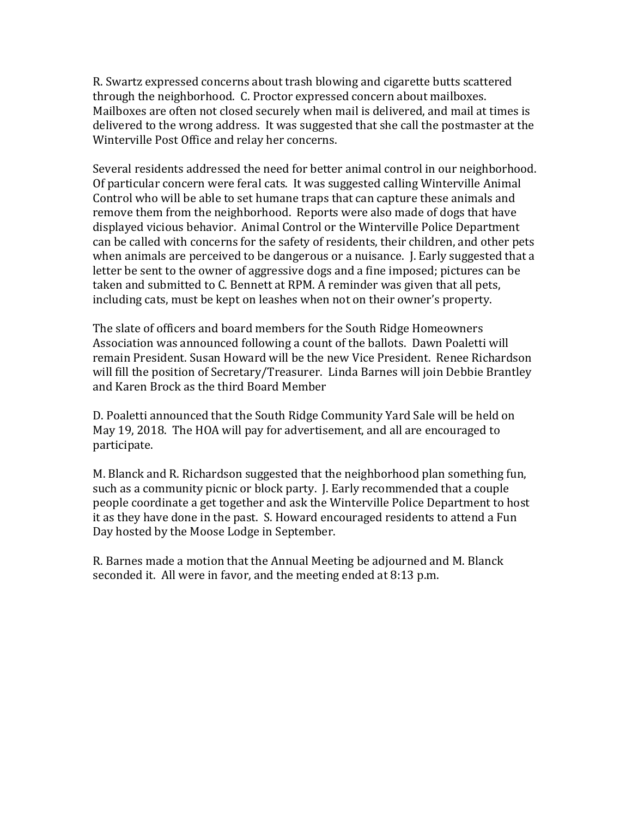R. Swartz expressed concerns about trash blowing and cigarette butts scattered through the neighborhood. C. Proctor expressed concern about mailboxes. Mailboxes are often not closed securely when mail is delivered, and mail at times is delivered to the wrong address. It was suggested that she call the postmaster at the Winterville Post Office and relay her concerns.

Several residents addressed the need for better animal control in our neighborhood. Of particular concern were feral cats. It was suggested calling Winterville Animal Control who will be able to set humane traps that can capture these animals and remove them from the neighborhood. Reports were also made of dogs that have displayed vicious behavior. Animal Control or the Winterville Police Department can be called with concerns for the safety of residents, their children, and other pets when animals are perceived to be dangerous or a nuisance. J. Early suggested that a letter be sent to the owner of aggressive dogs and a fine imposed; pictures can be taken and submitted to C. Bennett at RPM. A reminder was given that all pets, including cats, must be kept on leashes when not on their owner's property.

The slate of officers and board members for the South Ridge Homeowners Association was announced following a count of the ballots. Dawn Poaletti will remain President. Susan Howard will be the new Vice President. Renee Richardson will fill the position of Secretary/Treasurer. Linda Barnes will join Debbie Brantley and Karen Brock as the third Board Member

D. Poaletti announced that the South Ridge Community Yard Sale will be held on May 19, 2018. The HOA will pay for advertisement, and all are encouraged to participate.

M. Blanck and R. Richardson suggested that the neighborhood plan something fun, such as a community picnic or block party. J. Early recommended that a couple people coordinate a get together and ask the Winterville Police Department to host it as they have done in the past. S. Howard encouraged residents to attend a Fun Day hosted by the Moose Lodge in September.

R. Barnes made a motion that the Annual Meeting be adjourned and M. Blanck seconded it. All were in favor, and the meeting ended at 8:13 p.m.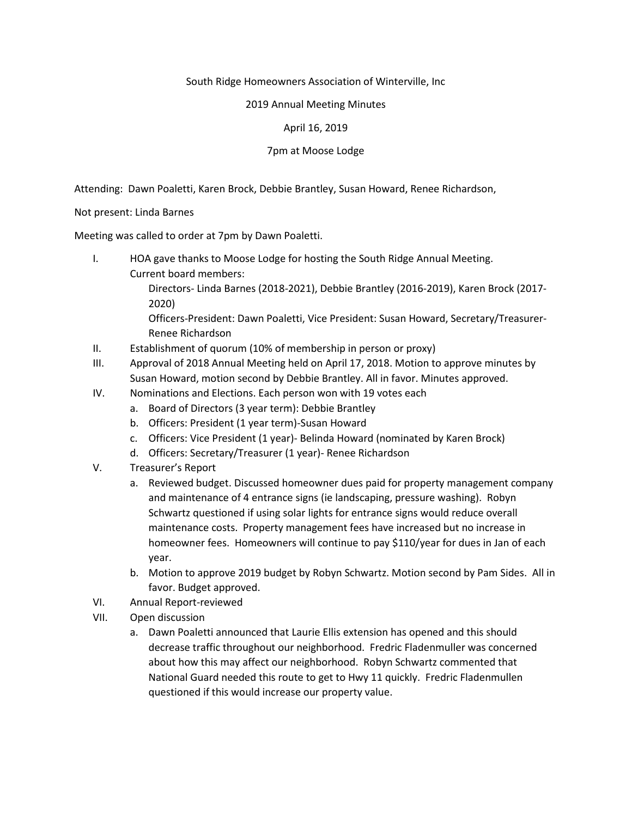#### South Ridge Homeowners Association of Winterville, Inc

#### 2019 Annual Meeting Minutes

#### April 16, 2019

#### 7pm at Moose Lodge

Attending: Dawn Poaletti, Karen Brock, Debbie Brantley, Susan Howard, Renee Richardson,

Not present: Linda Barnes

Meeting was called to order at 7pm by Dawn Poaletti.

- I. HOA gave thanks to Moose Lodge for hosting the South Ridge Annual Meeting. Current board members: Directors- Linda Barnes (2018-2021), Debbie Brantley (2016-2019), Karen Brock (2017- 2020) Officers-President: Dawn Poaletti, Vice President: Susan Howard, Secretary/Treasurer-Renee Richardson
- II. Establishment of quorum (10% of membership in person or proxy)
- III. Approval of 2018 Annual Meeting held on April 17, 2018. Motion to approve minutes by Susan Howard, motion second by Debbie Brantley. All in favor. Minutes approved.
- IV. Nominations and Elections. Each person won with 19 votes each
	- a. Board of Directors (3 year term): Debbie Brantley
	- b. Officers: President (1 year term)-Susan Howard
	- c. Officers: Vice President (1 year)- Belinda Howard (nominated by Karen Brock)
	- d. Officers: Secretary/Treasurer (1 year)- Renee Richardson
- V. Treasurer's Report
	- a. Reviewed budget. Discussed homeowner dues paid for property management company and maintenance of 4 entrance signs (ie landscaping, pressure washing). Robyn Schwartz questioned if using solar lights for entrance signs would reduce overall maintenance costs. Property management fees have increased but no increase in homeowner fees. Homeowners will continue to pay \$110/year for dues in Jan of each year.
	- b. Motion to approve 2019 budget by Robyn Schwartz. Motion second by Pam Sides. All in favor. Budget approved.
- VI. Annual Report-reviewed
- VII. Open discussion
	- a. Dawn Poaletti announced that Laurie Ellis extension has opened and this should decrease traffic throughout our neighborhood. Fredric Fladenmuller was concerned about how this may affect our neighborhood. Robyn Schwartz commented that National Guard needed this route to get to Hwy 11 quickly. Fredric Fladenmullen questioned if this would increase our property value.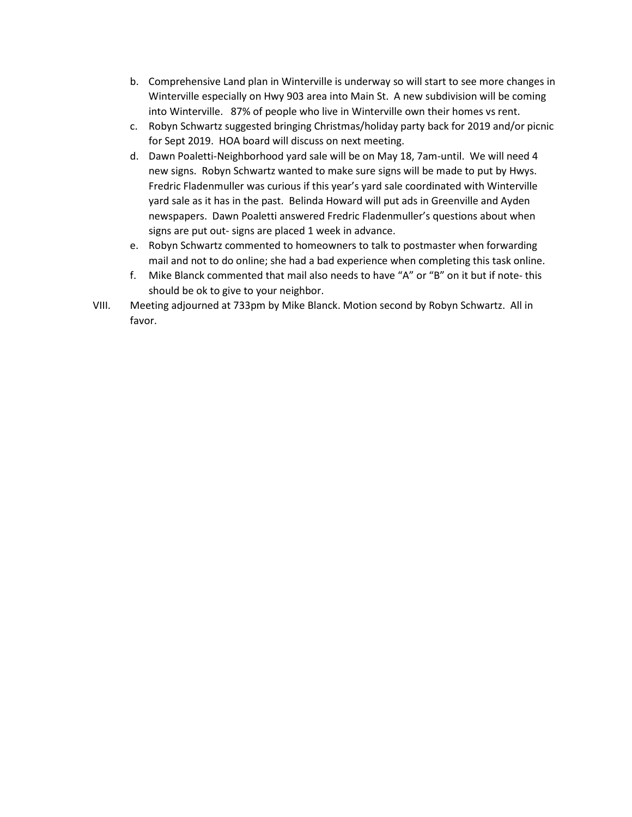- b. Comprehensive Land plan in Winterville is underway so will start to see more changes in Winterville especially on Hwy 903 area into Main St. A new subdivision will be coming into Winterville. 87% of people who live in Winterville own their homes vs rent.
- c. Robyn Schwartz suggested bringing Christmas/holiday party back for 2019 and/or picnic for Sept 2019. HOA board will discuss on next meeting.
- d. Dawn Poaletti-Neighborhood yard sale will be on May 18, 7am-until. We will need 4 new signs. Robyn Schwartz wanted to make sure signs will be made to put by Hwys. Fredric Fladenmuller was curious if this year's yard sale coordinated with Winterville yard sale as it has in the past. Belinda Howard will put ads in Greenville and Ayden newspapers. Dawn Poaletti answered Fredric Fladenmuller's questions about when signs are put out- signs are placed 1 week in advance.
- e. Robyn Schwartz commented to homeowners to talk to postmaster when forwarding mail and not to do online; she had a bad experience when completing this task online.
- f. Mike Blanck commented that mail also needs to have "A" or "B" on it but if note- this should be ok to give to your neighbor.
- VIII. Meeting adjourned at 733pm by Mike Blanck. Motion second by Robyn Schwartz. All in favor.